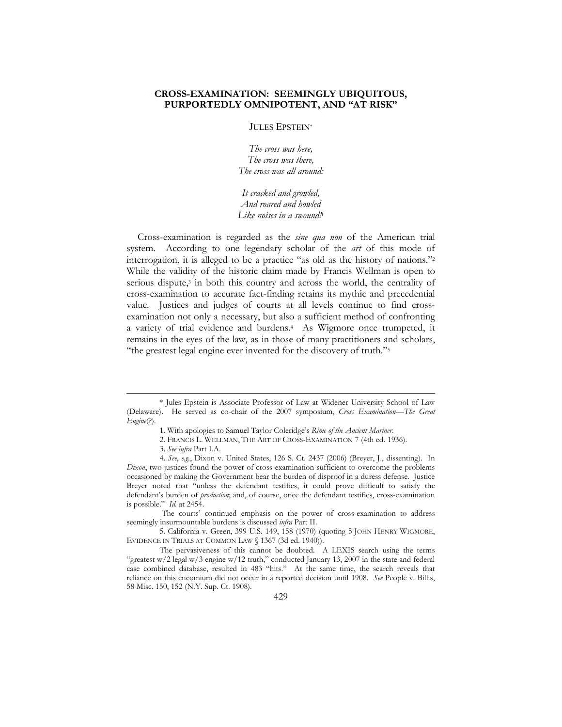# CROSS-EXAMINATION: SEEMINGLY UBIQUITOUS, PURPORTEDLY OMNIPOTENT, AND "AT RISK"

# JULES EPSTEIN\*

The cross was here, The cross was there, The cross was all around:

It cracked and growled, And roared and howled Like noises in a swound!<sup>1</sup>

 Cross-examination is regarded as the sine qua non of the American trial system. According to one legendary scholar of the *art* of this mode of interrogation, it is alleged to be a practice "as old as the history of nations."<sup>2</sup> While the validity of the historic claim made by Francis Wellman is open to serious dispute,<sup>3</sup> in both this country and across the world, the centrality of cross-examination to accurate fact-finding retains its mythic and precedential value. Justices and judges of courts at all levels continue to find crossexamination not only a necessary, but also a sufficient method of confronting a variety of trial evidence and burdens.4 As Wigmore once trumpeted, it remains in the eyes of the law, as in those of many practitioners and scholars, "the greatest legal engine ever invented for the discovery of truth."<sup>5</sup>

1

The courts' continued emphasis on the power of cross-examination to address seemingly insurmountable burdens is discussed infra Part II.

5. California v. Green, 399 U.S. 149, 158 (1970) (quoting 5 JOHN HENRY WIGMORE, EVIDENCE IN TRIALS AT COMMON LAW § 1367 (3d ed. 1940)).

The pervasiveness of this cannot be doubted. A LEXIS search using the terms "greatest  $w/2$  legal  $w/3$  engine  $w/12$  truth," conducted January 13, 2007 in the state and federal case combined database, resulted in 483 "hits." At the same time, the search reveals that reliance on this encomium did not occur in a reported decision until 1908. See People v. Billis, 58 Misc. 150, 152 (N.Y. Sup. Ct. 1908).

<sup>\*</sup> Jules Epstein is Associate Professor of Law at Widener University School of Law (Delaware). He served as co-chair of the 2007 symposium, Cross Examination-The Great Engine(?).

<sup>1.</sup> With apologies to Samuel Taylor Coleridge's Rime of the Ancient Mariner.

<sup>2.</sup> FRANCIS L. WELLMAN, THE ART OF CROSS-EXAMINATION 7 (4th ed. 1936).

<sup>3.</sup> See infra Part I.A.

<sup>4.</sup> See, e.g., Dixon v. United States, 126 S. Ct. 2437 (2006) (Breyer, J., dissenting). In Dixon, two justices found the power of cross-examination sufficient to overcome the problems occasioned by making the Government bear the burden of disproof in a duress defense. Justice Breyer noted that "unless the defendant testifies, it could prove difficult to satisfy the defendant's burden of production; and, of course, once the defendant testifies, cross-examination is possible." Id. at 2454.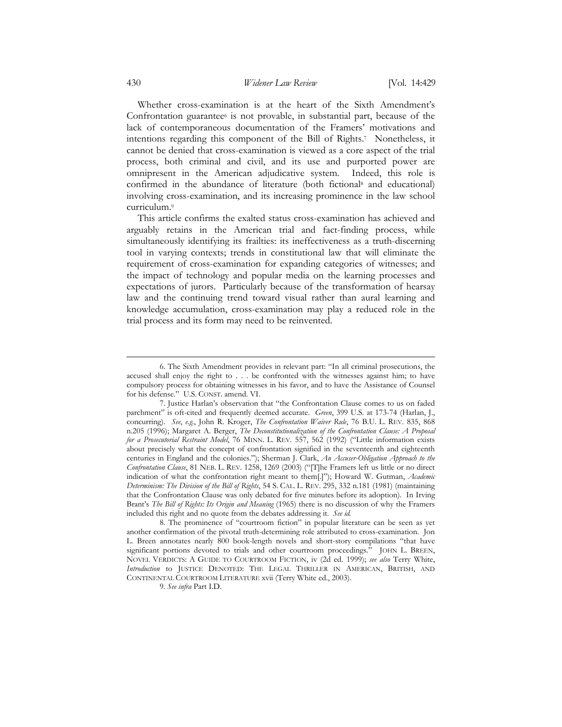Whether cross-examination is at the heart of the Sixth Amendment's Confrontation guarantee<sup>6</sup> is not provable, in substantial part, because of the lack of contemporaneous documentation of the Framers' motivations and intentions regarding this component of the Bill of Rights.7 Nonetheless, it cannot be denied that cross-examination is viewed as a core aspect of the trial process, both criminal and civil, and its use and purported power are omnipresent in the American adjudicative system. Indeed, this role is confirmed in the abundance of literature (both fictional<sup>8</sup> and educational) involving cross-examination, and its increasing prominence in the law school curriculum.<sup>9</sup>

 This article confirms the exalted status cross-examination has achieved and arguably retains in the American trial and fact-finding process, while simultaneously identifying its frailties: its ineffectiveness as a truth-discerning tool in varying contexts; trends in constitutional law that will eliminate the requirement of cross-examination for expanding categories of witnesses; and the impact of technology and popular media on the learning processes and expectations of jurors. Particularly because of the transformation of hearsay law and the continuing trend toward visual rather than aural learning and knowledge accumulation, cross-examination may play a reduced role in the trial process and its form may need to be reinvented.

9. See infra Part I.D.

<sup>6.</sup> The Sixth Amendment provides in relevant part: "In all criminal prosecutions, the accused shall enjoy the right to . . . be confronted with the witnesses against him; to have compulsory process for obtaining witnesses in his favor, and to have the Assistance of Counsel for his defense." U.S. CONST. amend. VI.

<sup>7.</sup> Justice Harlan's observation that "the Confrontation Clause comes to us on faded parchment" is oft-cited and frequently deemed accurate. Green, 399 U.S. at 173-74 (Harlan, J., concurring). See, e.g., John R. Kroger, The Confrontation Waiver Rule, 76 B.U. L. REV. 835, 868 n.205 (1996); Margaret A. Berger, The Deconstitutionalization of the Confrontation Clause: A Proposal for a Prosecutorial Restraint Model, 76 MINN. L. REV. 557, 562 (1992) ("Little information exists about precisely what the concept of confrontation signified in the seventeenth and eighteenth centuries in England and the colonies."); Sherman J. Clark, An Accuser-Obligation Approach to the Confrontation Clause, 81 NEB. L. REV. 1258, 1269 (2003) ("[T]he Framers left us little or no direct indication of what the confrontation right meant to them[.]"); Howard W. Gutman, Academic Determinism: The Division of the Bill of Rights, 54 S. CAL. L. REV. 295, 332 n.181 (1981) (maintaining that the Confrontation Clause was only debated for five minutes before its adoption). In Irving Brant's The Bill of Rights: Its Origin and Meaning (1965) there is no discussion of why the Framers included this right and no quote from the debates addressing it. See id.

<sup>8.</sup> The prominence of "courtroom fiction" in popular literature can be seen as yet another confirmation of the pivotal truth-determining role attributed to cross-examination. Jon L. Breen annotates nearly 800 book-length novels and short-story compilations "that have significant portions devoted to trials and other courtroom proceedings." JOHN L. BREEN, NOVEL VERDICTS: A GUIDE TO COURTROOM FICTION, iv (2d ed. 1999); see also Terry White, Introduction to JUSTICE DENOTED: THE LEGAL THRILLER IN AMERICAN, BRITISH, AND CONTINENTAL COURTROOM LITERATURE xvii (Terry White ed., 2003).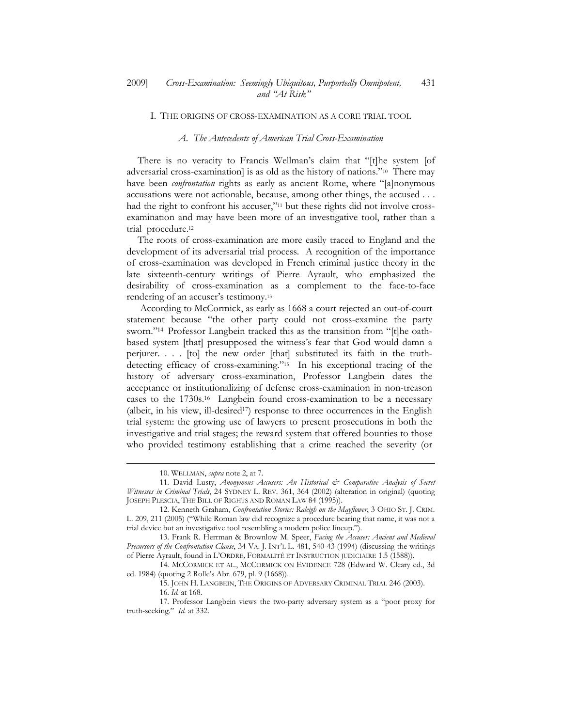### I. THE ORIGINS OF CROSS-EXAMINATION AS A CORE TRIAL TOOL

## A. The Antecedents of American Trial Cross-Examination

There is no veracity to Francis Wellman's claim that "[t]he system [of adversarial cross-examination] is as old as the history of nations."10 There may have been *confrontation* rights as early as ancient Rome, where "[a]nonymous accusations were not actionable, because, among other things, the accused . . . had the right to confront his accuser,"<sup>11</sup> but these rights did not involve crossexamination and may have been more of an investigative tool, rather than a trial procedure.<sup>12</sup>

 The roots of cross-examination are more easily traced to England and the development of its adversarial trial process. A recognition of the importance of cross-examination was developed in French criminal justice theory in the late sixteenth-century writings of Pierre Ayrault, who emphasized the desirability of cross-examination as a complement to the face-to-face rendering of an accuser's testimony.<sup>13</sup>

According to McCormick, as early as 1668 a court rejected an out-of-court statement because "the other party could not cross-examine the party sworn."14 Professor Langbein tracked this as the transition from "[t]he oathbased system [that] presupposed the witness's fear that God would damn a perjurer. . . . [to] the new order [that] substituted its faith in the truthdetecting efficacy of cross-examining."15 In his exceptional tracing of the history of adversary cross-examination, Professor Langbein dates the acceptance or institutionalizing of defense cross-examination in non-treason cases to the 1730s.16 Langbein found cross-examination to be a necessary (albeit, in his view, ill-desired<sup>17</sup>) response to three occurrences in the English trial system: the growing use of lawyers to present prosecutions in both the investigative and trial stages; the reward system that offered bounties to those who provided testimony establishing that a crime reached the severity (or

-

<sup>10.</sup> WELLMAN, supra note 2, at 7.

<sup>11.</sup> David Lusty, Anonymous Accusers: An Historical & Comparative Analysis of Secret Witnesses in Criminal Trials, 24 SYDNEY L. REV. 361, 364 (2002) (alteration in original) (quoting JOSEPH PLESCIA, THE BILL OF RIGHTS AND ROMAN LAW 84 (1995)).

<sup>12.</sup> Kenneth Graham, Confrontation Stories: Raleigh on the Mayflower, 3 OHIO ST. J. CRIM. L. 209, 211 (2005) ("While Roman law did recognize a procedure bearing that name, it was not a trial device but an investigative tool resembling a modern police lineup.").

<sup>13.</sup> Frank R. Herrman & Brownlow M. Speer, Facing the Accuser: Ancient and Medieval Precursors of the Confrontation Clause, 34 VA. J. INT'L L. 481, 540-43 (1994) (discussing the writings of Pierre Ayrault, found in L'ORDRE, FORMALITÉ ET INSTRUCTION JUDICIAIRE 1.5 (1588)).

<sup>14.</sup> MCCORMICK ET AL., MCCORMICK ON EVIDENCE 728 (Edward W. Cleary ed., 3d ed. 1984) (quoting 2 Rolle's Abr. 679, pl. 9 (1668)).

<sup>15.</sup> JOHN H. LANGBEIN, THE ORIGINS OF ADVERSARY CRIMINAL TRIAL 246 (2003).

<sup>16.</sup> Id. at 168.

<sup>17.</sup> Professor Langbein views the two-party adversary system as a "poor proxy for truth-seeking." Id. at 332.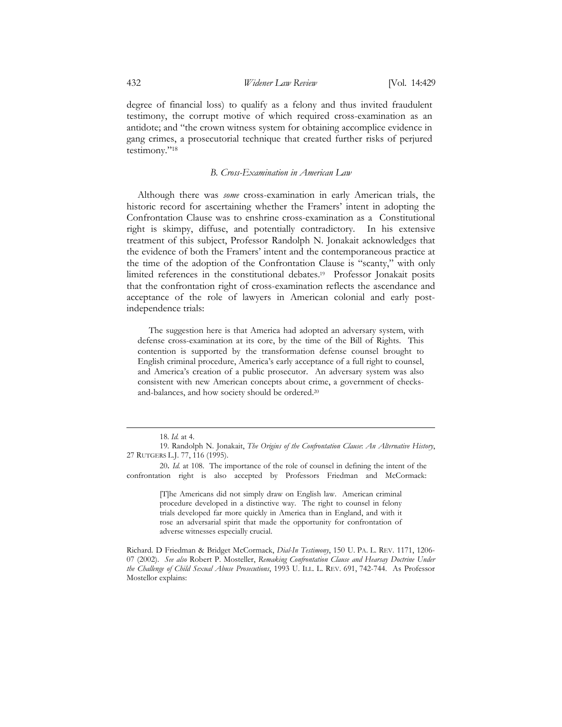degree of financial loss) to qualify as a felony and thus invited fraudulent testimony, the corrupt motive of which required cross-examination as an antidote; and "the crown witness system for obtaining accomplice evidence in gang crimes, a prosecutorial technique that created further risks of perjured testimony."<sup>18</sup>

# B. Cross-Examination in American Law

Although there was some cross-examination in early American trials, the historic record for ascertaining whether the Framers' intent in adopting the Confrontation Clause was to enshrine cross-examination as a Constitutional right is skimpy, diffuse, and potentially contradictory. In his extensive treatment of this subject, Professor Randolph N. Jonakait acknowledges that the evidence of both the Framers' intent and the contemporaneous practice at the time of the adoption of the Confrontation Clause is "scanty," with only limited references in the constitutional debates.19 Professor Jonakait posits that the confrontation right of cross-examination reflects the ascendance and acceptance of the role of lawyers in American colonial and early postindependence trials:

The suggestion here is that America had adopted an adversary system, with defense cross-examination at its core, by the time of the Bill of Rights. This contention is supported by the transformation defense counsel brought to English criminal procedure, America's early acceptance of a full right to counsel, and America's creation of a public prosecutor. An adversary system was also consistent with new American concepts about crime, a government of checksand-balances, and how society should be ordered.<sup>20</sup>

1

[T]he Americans did not simply draw on English law. American criminal procedure developed in a distinctive way. The right to counsel in felony trials developed far more quickly in America than in England, and with it rose an adversarial spirit that made the opportunity for confrontation of adverse witnesses especially crucial.

<sup>18.</sup> Id. at 4.

<sup>19.</sup> Randolph N. Jonakait, The Origins of the Confrontation Clause: An Alternative History, 27 RUTGERS L.J. 77, 116 (1995).

<sup>20</sup>. Id. at 108. The importance of the role of counsel in defining the intent of the confrontation right is also accepted by Professors Friedman and McCormack:

Richard. D Friedman & Bridget McCormack, Dial-In Testimony, 150 U. PA. L. REV. 1171, 1206- 07 (2002). See also Robert P. Mosteller, Remaking Confrontation Clause and Hearsay Doctrine Under the Challenge of Child Sexual Abuse Prosecutions, 1993 U. ILL. L. REV. 691, 742-744. As Professor Mostellor explains: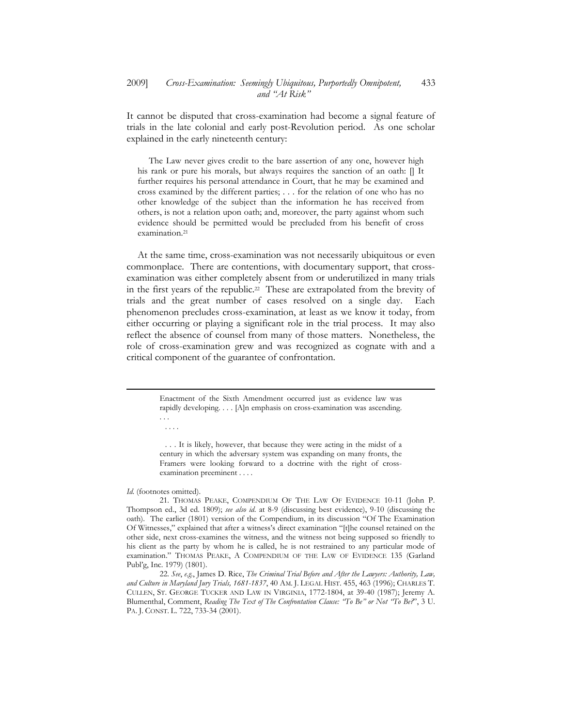It cannot be disputed that cross-examination had become a signal feature of trials in the late colonial and early post-Revolution period. As one scholar explained in the early nineteenth century:

The Law never gives credit to the bare assertion of any one, however high his rank or pure his morals, but always requires the sanction of an oath:  $\parallel$  It further requires his personal attendance in Court, that he may be examined and cross examined by the different parties; . . . for the relation of one who has no other knowledge of the subject than the information he has received from others, is not a relation upon oath; and, moreover, the party against whom such evidence should be permitted would be precluded from his benefit of cross examination.<sup>21</sup>

 At the same time, cross-examination was not necessarily ubiquitous or even commonplace. There are contentions, with documentary support, that crossexamination was either completely absent from or underutilized in many trials in the first years of the republic.22 These are extrapolated from the brevity of trials and the great number of cases resolved on a single day. Each phenomenon precludes cross-examination, at least as we know it today, from either occurring or playing a significant role in the trial process. It may also reflect the absence of counsel from many of those matters. Nonetheless, the role of cross-examination grew and was recognized as cognate with and a critical component of the guarantee of confrontation.

> Enactment of the Sixth Amendment occurred just as evidence law was rapidly developing. . . . [A]n emphasis on cross-examination was ascending. . . .

. . . .

-

 . . . It is likely, however, that because they were acting in the midst of a century in which the adversary system was expanding on many fronts, the Framers were looking forward to a doctrine with the right of crossexamination preeminent . . . .

#### Id. (footnotes omitted).

21. THOMAS PEAKE, COMPENDIUM OF THE LAW OF EVIDENCE 10-11 (John P. Thompson ed., 3d ed. 1809); see also id. at 8-9 (discussing best evidence), 9-10 (discussing the oath). The earlier (1801) version of the Compendium, in its discussion "Of The Examination Of Witnesses," explained that after a witness's direct examination "[t]he counsel retained on the other side, next cross-examines the witness, and the witness not being supposed so friendly to his client as the party by whom he is called, he is not restrained to any particular mode of examination." THOMAS PEAKE, A COMPENDIUM OF THE LAW OF EVIDENCE 135 (Garland Publ'g, Inc. 1979) (1801).

22. See, e.g., James D. Rice, The Criminal Trial Before and After the Lawyers: Authority, Law, and Culture in Maryland Jury Trials, 1681-1837, 40 AM. J. LEGAL HIST. 455, 463 (1996); CHARLES T. CULLEN, ST. GEORGE TUCKER AND LAW IN VIRGINIA, 1772-1804, at 39-40 (1987); Jeremy A. Blumenthal, Comment, Reading The Text of The Confrontation Clause: "To Be" or Not "To Be?", 3 U. PA. J. CONST. L. 722, 733-34 (2001).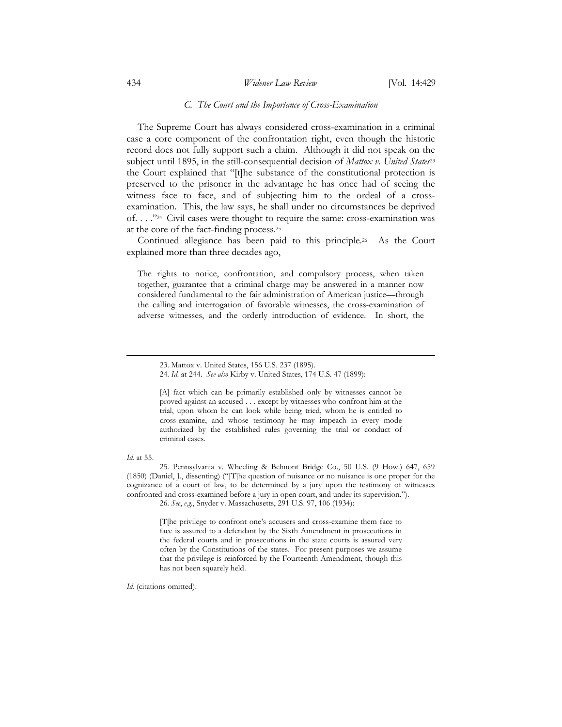# 434 Widener Law Review [Vol. 14:429]

# C. The Court and the Importance of Cross-Examination

 The Supreme Court has always considered cross-examination in a criminal case a core component of the confrontation right, even though the historic record does not fully support such a claim. Although it did not speak on the subject until 1895, in the still-consequential decision of Mattox v. United States<sup>23</sup> the Court explained that "[t]he substance of the constitutional protection is preserved to the prisoner in the advantage he has once had of seeing the witness face to face, and of subjecting him to the ordeal of a crossexamination. This, the law says, he shall under no circumstances be deprived of. . . ."24 Civil cases were thought to require the same: cross-examination was at the core of the fact-finding process.<sup>25</sup>

 Continued allegiance has been paid to this principle.26 As the Court explained more than three decades ago,

The rights to notice, confrontation, and compulsory process, when taken together, guarantee that a criminal charge may be answered in a manner now considered fundamental to the fair administration of American justice—through the calling and interrogation of favorable witnesses, the cross-examination of adverse witnesses, and the orderly introduction of evidence. In short, the

[A] fact which can be primarily established only by witnesses cannot be proved against an accused . . . except by witnesses who confront him at the trial, upon whom he can look while being tried, whom he is entitled to cross-examine, and whose testimony he may impeach in every mode authorized by the established rules governing the trial or conduct of criminal cases.

#### $Id$  at 55.

-

25. Pennsylvania v. Wheeling & Belmont Bridge Co., 50 U.S. (9 How.) 647, 659 (1850) (Daniel, J., dissenting) ("[T]he question of nuisance or no nuisance is one proper for the cognizance of a court of law, to be determined by a jury upon the testimony of witnesses confronted and cross-examined before a jury in open court, and under its supervision.").

26. See, e.g., Snyder v. Massachusetts, 291 U.S. 97, 106 (1934):

[T[he privilege to confront one's accusers and cross-examine them face to face is assured to a defendant by the Sixth Amendment in prosecutions in the federal courts and in prosecutions in the state courts is assured very often by the Constitutions of the states. For present purposes we assume that the privilege is reinforced by the Fourteenth Amendment, though this has not been squarely held.

Id. (citations omitted).

<sup>23.</sup> Mattox v. United States, 156 U.S. 237 (1895).

<sup>24.</sup> Id. at 244. See also Kirby v. United States, 174 U.S. 47 (1899):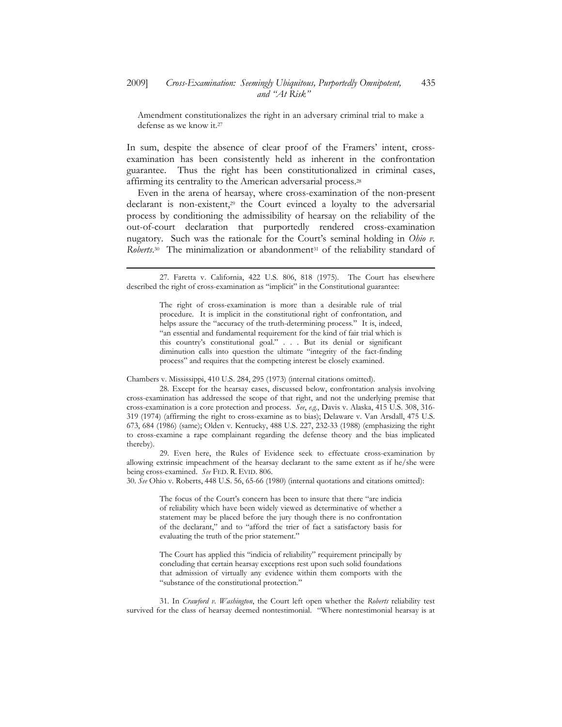Amendment constitutionalizes the right in an adversary criminal trial to make a defense as we know it.<sup>27</sup>

In sum, despite the absence of clear proof of the Framers' intent, crossexamination has been consistently held as inherent in the confrontation guarantee. Thus the right has been constitutionalized in criminal cases, affirming its centrality to the American adversarial process.<sup>28</sup>

 Even in the arena of hearsay, where cross-examination of the non-present declarant is non-existent,29 the Court evinced a loyalty to the adversarial process by conditioning the admissibility of hearsay on the reliability of the out-of-court declaration that purportedly rendered cross-examination nugatory. Such was the rationale for the Court's seminal holding in Ohio v. Roberts.<sup>30</sup> The minimalization or abandonment<sup>31</sup> of the reliability standard of

Chambers v. Mississippi, 410 U.S. 284, 295 (1973) (internal citations omitted).

-

28. Except for the hearsay cases, discussed below, confrontation analysis involving cross-examination has addressed the scope of that right, and not the underlying premise that cross-examination is a core protection and process. See, e.g., Davis v. Alaska, 415 U.S. 308, 316- 319 (1974) (affirming the right to cross-examine as to bias); Delaware v. Van Arsdall, 475 U.S. 673, 684 (1986) (same); Olden v. Kentucky, 488 U.S. 227, 232-33 (1988) (emphasizing the right to cross-examine a rape complainant regarding the defense theory and the bias implicated thereby).

29. Even here, the Rules of Evidence seek to effectuate cross-examination by allowing extrinsic impeachment of the hearsay declarant to the same extent as if he/she were being cross-examined. See FED. R. EVID. 806.

30. See Ohio v. Roberts, 448 U.S. 56, 65-66 (1980) (internal quotations and citations omitted):

The focus of the Court's concern has been to insure that there "are indicia of reliability which have been widely viewed as determinative of whether a statement may be placed before the jury though there is no confrontation of the declarant," and to "afford the trier of fact a satisfactory basis for evaluating the truth of the prior statement."

The Court has applied this "indicia of reliability" requirement principally by concluding that certain hearsay exceptions rest upon such solid foundations that admission of virtually any evidence within them comports with the "substance of the constitutional protection."

31. In Crawford v. Washington, the Court left open whether the Roberts reliability test survived for the class of hearsay deemed nontestimonial. "Where nontestimonial hearsay is at

<sup>27.</sup> Faretta v. California, 422 U.S. 806, 818 (1975). The Court has elsewhere described the right of cross-examination as "implicit" in the Constitutional guarantee:

The right of cross-examination is more than a desirable rule of trial procedure. It is implicit in the constitutional right of confrontation, and helps assure the "accuracy of the truth-determining process." It is, indeed, "an essential and fundamental requirement for the kind of fair trial which is this country's constitutional goal." . . . But its denial or significant diminution calls into question the ultimate "integrity of the fact-finding process" and requires that the competing interest be closely examined.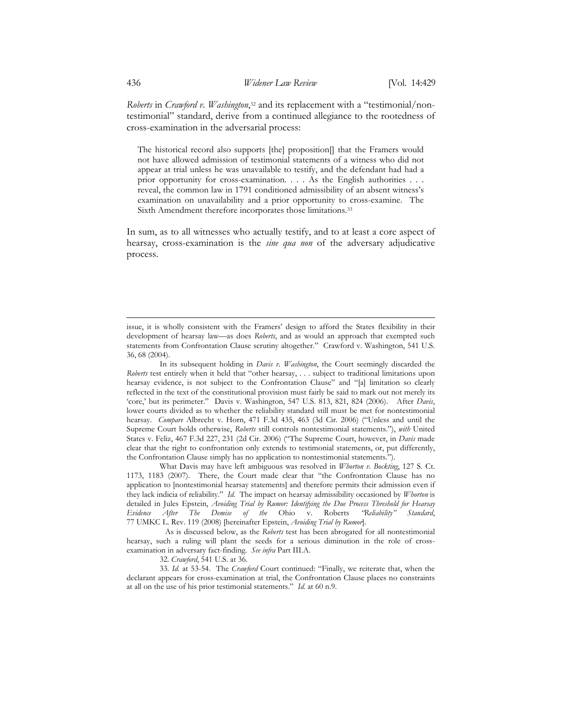Roberts in Crawford v. Washington,<sup>32</sup> and its replacement with a "testimonial/nontestimonial" standard, derive from a continued allegiance to the rootedness of cross-examination in the adversarial process:

The historical record also supports [the] proposition[] that the Framers would not have allowed admission of testimonial statements of a witness who did not appear at trial unless he was unavailable to testify, and the defendant had had a prior opportunity for cross-examination. . . . As the English authorities . . . reveal, the common law in 1791 conditioned admissibility of an absent witness's examination on unavailability and a prior opportunity to cross-examine. The Sixth Amendment therefore incorporates those limitations.<sup>33</sup>

In sum, as to all witnesses who actually testify, and to at least a core aspect of hearsay, cross-examination is the sine qua non of the adversary adjudicative process.

In its subsequent holding in *Davis v. Washington*, the Court seemingly discarded the Roberts test entirely when it held that "other hearsay, . . . subject to traditional limitations upon hearsay evidence, is not subject to the Confrontation Clause" and "[a] limitation so clearly reflected in the text of the constitutional provision must fairly be said to mark out not merely its 'core,' but its perimeter." Davis v. Washington, 547 U.S. 813, 821, 824 (2006). After Davis, lower courts divided as to whether the reliability standard still must be met for nontestimonial hearsay. Compare Albrecht v. Horn, 471 F.3d 435, 463 (3d Cir. 2006) ("Unless and until the Supreme Court holds otherwise, Roberts still controls nontestimonial statements."), with United States v. Feliz, 467 F.3d 227, 231 (2d Cir. 2006) ("The Supreme Court, however, in Davis made clear that the right to confrontation only extends to testimonial statements, or, put differently, the Confrontation Clause simply has no application to nontestimonial statements.").

What Davis may have left ambiguous was resolved in *Whorton v. Bockting*, 127 S. Ct. 1173, 1183 (2007). There, the Court made clear that "the Confrontation Clause has no application to [nontestimonial hearsay statements] and therefore permits their admission even if they lack indicia of reliability." Id. The impact on hearsay admissibility occasioned by Whorton is detailed in Jules Epstein, Avoiding Trial by Rumor: Identifying the Due Process Threshold for Hearsay Evidence After The Demise of the Ohio v. Roberts "Reliability" Standard, 77 UMKC L. Rev. 119 (2008) [hereinafter Epstein, Avoiding Trial by Rumor].

 As is discussed below, as the Roberts test has been abrogated for all nontestimonial hearsay, such a ruling will plant the seeds for a serious diminution in the role of crossexamination in adversary fact-finding. See infra Part III.A.

32. Crawford, 541 U.S. at 36.

33. Id. at 53-54. The Crawford Court continued: "Finally, we reiterate that, when the declarant appears for cross-examination at trial, the Confrontation Clause places no constraints at all on the use of his prior testimonial statements." Id. at 60 n.9.

issue, it is wholly consistent with the Framers' design to afford the States flexibility in their development of hearsay law—as does Roberts, and as would an approach that exempted such statements from Confrontation Clause scrutiny altogether." Crawford v. Washington, 541 U.S. 36, 68 (2004).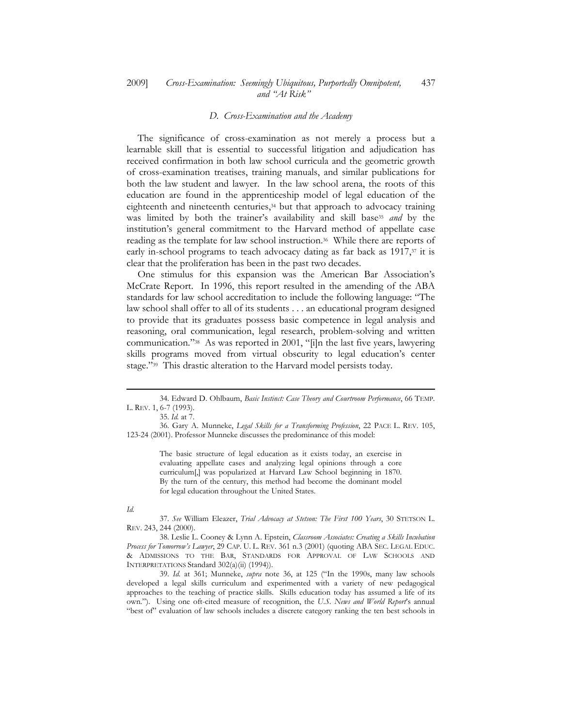#### 2009] Cross-Examination: Seemingly Ubiquitous, Purportedly Omnipotent, and "At Risk" 437

### D. Cross-Examination and the Academy

 The significance of cross-examination as not merely a process but a learnable skill that is essential to successful litigation and adjudication has received confirmation in both law school curricula and the geometric growth of cross-examination treatises, training manuals, and similar publications for both the law student and lawyer. In the law school arena, the roots of this education are found in the apprenticeship model of legal education of the eighteenth and nineteenth centuries,34 but that approach to advocacy training was limited by both the trainer's availability and skill base<sup>35</sup> and by the institution's general commitment to the Harvard method of appellate case reading as the template for law school instruction.36 While there are reports of early in-school programs to teach advocacy dating as far back as 1917,<sup>37</sup> it is clear that the proliferation has been in the past two decades.

 One stimulus for this expansion was the American Bar Association's McCrate Report. In 1996, this report resulted in the amending of the ABA standards for law school accreditation to include the following language: "The law school shall offer to all of its students . . . an educational program designed to provide that its graduates possess basic competence in legal analysis and reasoning, oral communication, legal research, problem-solving and written communication."38 As was reported in 2001, "[i]n the last five years, lawyering skills programs moved from virtual obscurity to legal education's center stage."39 This drastic alteration to the Harvard model persists today.

The basic structure of legal education as it exists today, an exercise in evaluating appellate cases and analyzing legal opinions through a core curriculum[,] was popularized at Harvard Law School beginning in 1870. By the turn of the century, this method had become the dominant model for legal education throughout the United States.

### Id.

1

37. See William Eleazer, Trial Advocacy at Stetson: The First 100 Years, 30 STETSON L. REV. 243, 244 (2000).

38. Leslie L. Cooney & Lynn A. Epstein, Classroom Associates: Creating a Skills Incubation Process for Tomorrow's Lawyer, 29 CAP. U. L. REV. 361 n.3 (2001) (quoting ABA SEC. LEGAL EDUC. & ADMISSIONS TO THE BAR, STANDARDS FOR APPROVAL OF LAW SCHOOLS AND INTERPRETATIONS Standard 302(a)(ii) (1994)).

39. Id. at 361; Munneke, supra note 36, at 125 ("In the 1990s, many law schools developed a legal skills curriculum and experimented with a variety of new pedagogical approaches to the teaching of practice skills. Skills education today has assumed a life of its own."). Using one oft-cited measure of recognition, the U.S. News and World Report's annual "best of" evaluation of law schools includes a discrete category ranking the ten best schools in

<sup>34.</sup> Edward D. Ohlbaum, Basic Instinct: Case Theory and Courtroom Performance, 66 TEMP. L. REV. 1, 6-7 (1993).

<sup>35.</sup> Id. at 7.

<sup>36.</sup> Gary A. Munneke, Legal Skills for a Transforming Profession, 22 PACE L. REV. 105, 123-24 (2001). Professor Munneke discusses the predominance of this model: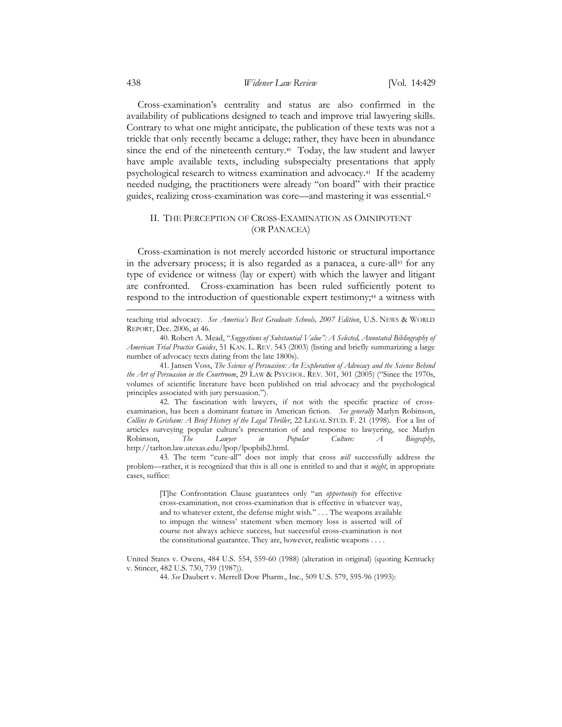# 438 Widener Law Review [Vol. 14:429]

 Cross-examination's centrality and status are also confirmed in the availability of publications designed to teach and improve trial lawyering skills. Contrary to what one might anticipate, the publication of these texts was not a trickle that only recently became a deluge; rather, they have been in abundance since the end of the nineteenth century.<sup>40</sup> Today, the law student and lawyer have ample available texts, including subspecialty presentations that apply psychological research to witness examination and advocacy.41 If the academy needed nudging, the practitioners were already "on board" with their practice guides, realizing cross-examination was core—and mastering it was essential.<sup>42</sup>

# II. THE PERCEPTION OF CROSS-EXAMINATION AS OMNIPOTENT (OR PANACEA)

 Cross-examination is not merely accorded historic or structural importance in the adversary process; it is also regarded as a panacea, a cure-all<sup>43</sup> for any type of evidence or witness (lay or expert) with which the lawyer and litigant are confronted. Cross-examination has been ruled sufficiently potent to respond to the introduction of questionable expert testimony;<sup>44</sup> a witness with

teaching trial advocacy. See America's Best Graduate Schools, 2007 Edition, U.S. NEWS & WORLD REPORT, Dec. 2006, at 46.

40. Robert A. Mead, "Suggestions of Substantial Value": A Selected, Annotated Bibliography of American Trial Practice Guides, 51 KAN. L. REV. 543 (2003) (listing and briefly summarizing a large number of advocacy texts dating from the late 1800s).

41. Jansen Voss, The Science of Persuasion: An Exploration of Advocacy and the Science Behind the Art of Persuasion in the Courtroom, 29 LAW & PSYCHOL. REV. 301, 301 (2005) ("Since the 1970s, volumes of scientific literature have been published on trial advocacy and the psychological principles associated with jury persuasion.").

42. The fascination with lawyers, if not with the specific practice of crossexamination, has been a dominant feature in American fiction. See generally Marlyn Robinson, Collins to Grisham: A Brief History of the Legal Thriller, 22 LEGAL STUD. F. 21 (1998). For a list of articles surveying popular culture's presentation of and response to lawyering, see Marlyn Robinson, The Lawyer in Popular Culture: A Biography, http://tarlton.law.utexas.edu/lpop/lpopbib2.html.

43. The term "cure-all" does not imply that cross will successfully address the problem—rather, it is recognized that this is all one is entitled to and that it might, in appropriate cases, suffice:

> [T]he Confrontation Clause guarantees only "an opportunity for effective cross-examination, not cross-examination that is effective in whatever way, and to whatever extent, the defense might wish.'' . . . The weapons available to impugn the witness' statement when memory loss is asserted will of course not always achieve success, but successful cross-examination is not the constitutional guarantee. They are, however, realistic weapons . . . .

United States v. Owens, 484 U.S. 554, 559-60 (1988) (alteration in original) (quoting Kentucky v. Stincer, 482 U.S. 730, 739 (1987)).

44. See Daubert v. Merrell Dow Pharm., Inc., 509 U.S. 579, 595-96 (1993):

-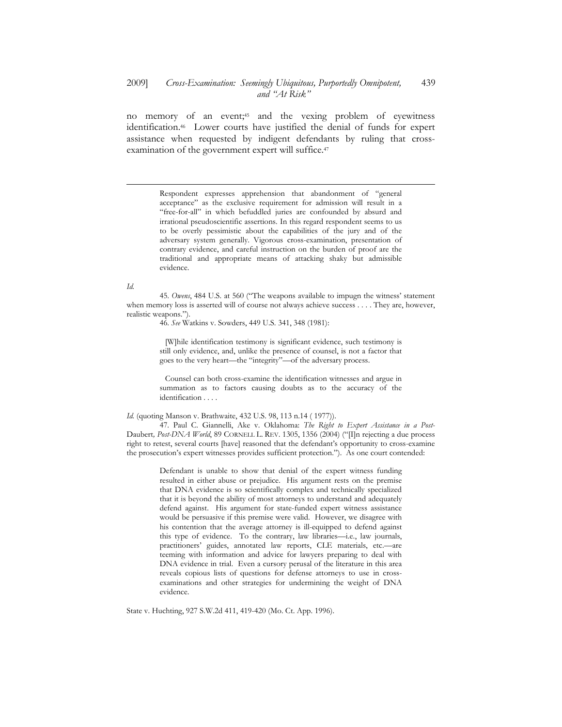no memory of an event;45 and the vexing problem of eyewitness identification.46 Lower courts have justified the denial of funds for expert assistance when requested by indigent defendants by ruling that crossexamination of the government expert will suffice.<sup>47</sup>

> Respondent expresses apprehension that abandonment of "general acceptance" as the exclusive requirement for admission will result in a "free-for-all" in which befuddled juries are confounded by absurd and irrational pseudoscientific assertions. In this regard respondent seems to us to be overly pessimistic about the capabilities of the jury and of the adversary system generally. Vigorous cross-examination, presentation of contrary evidence, and careful instruction on the burden of proof are the traditional and appropriate means of attacking shaky but admissible evidence.

Id.

1

45. Owens, 484 U.S. at 560 ("The weapons available to impugn the witness' statement when memory loss is asserted will of course not always achieve success . . . . They are, however, realistic weapons.").

46. See Watkins v. Sowders, 449 U.S. 341, 348 (1981):

 [W]hile identification testimony is significant evidence, such testimony is still only evidence, and, unlike the presence of counsel, is not a factor that goes to the very heart—the "integrity"—of the adversary process.

 Counsel can both cross-examine the identification witnesses and argue in summation as to factors causing doubts as to the accuracy of the identification . . . .

Id. (quoting Manson v. Brathwaite, 432 U.S. 98, 113 n.14 ( 1977)).

47. Paul C. Giannelli, Ake v. Oklahoma: The Right to Expert Assistance in a Post-Daubert, Post-DNA World, 89 CORNELL L. REV. 1305, 1356 (2004) ("[I]n rejecting a due process right to retest, several courts [have] reasoned that the defendant's opportunity to cross-examine the prosecution's expert witnesses provides sufficient protection."). As one court contended:

> Defendant is unable to show that denial of the expert witness funding resulted in either abuse or prejudice. His argument rests on the premise that DNA evidence is so scientifically complex and technically specialized that it is beyond the ability of most attorneys to understand and adequately defend against. His argument for state-funded expert witness assistance would be persuasive if this premise were valid. However, we disagree with his contention that the average attorney is ill-equipped to defend against this type of evidence. To the contrary, law libraries—i.e., law journals, practitioners' guides, annotated law reports, CLE materials, etc.—are teeming with information and advice for lawyers preparing to deal with DNA evidence in trial. Even a cursory perusal of the literature in this area reveals copious lists of questions for defense attorneys to use in crossexaminations and other strategies for undermining the weight of DNA evidence.

State v. Huchting, 927 S.W.2d 411, 419-420 (Mo. Ct. App. 1996).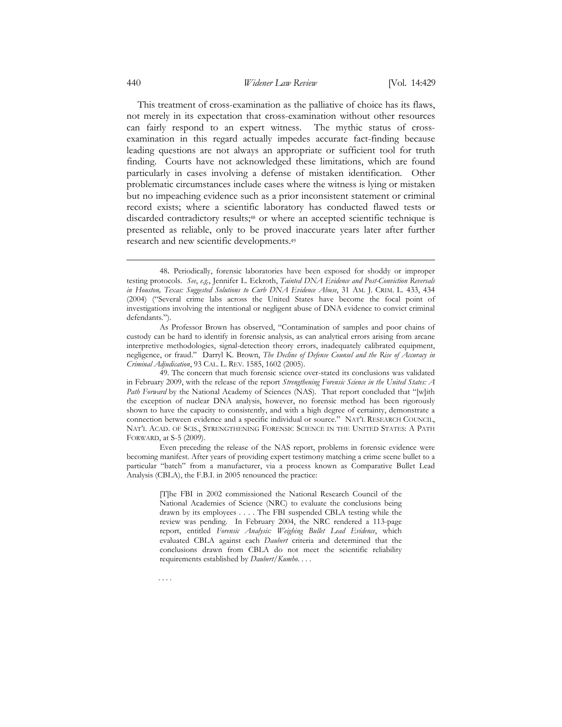This treatment of cross-examination as the palliative of choice has its flaws, not merely in its expectation that cross-examination without other resources can fairly respond to an expert witness. The mythic status of crossexamination in this regard actually impedes accurate fact-finding because leading questions are not always an appropriate or sufficient tool for truth finding. Courts have not acknowledged these limitations, which are found particularly in cases involving a defense of mistaken identification. Other problematic circumstances include cases where the witness is lying or mistaken but no impeaching evidence such as a prior inconsistent statement or criminal record exists; where a scientific laboratory has conducted flawed tests or discarded contradictory results;48 or where an accepted scientific technique is presented as reliable, only to be proved inaccurate years later after further research and new scientific developments.<sup>49</sup>

-

. . . .

<sup>48</sup>. Periodically, forensic laboratories have been exposed for shoddy or improper testing protocols. See, e.g., Jennifer L. Eckroth, Tainted DNA Evidence and Post-Conviction Reversals in Houston, Texas: Suggested Solutions to Curb DNA Evidence Abuse, 31 AM. J. CRIM. L. 433, 434 (2004) ("Several crime labs across the United States have become the focal point of investigations involving the intentional or negligent abuse of DNA evidence to convict criminal defendants.").

As Professor Brown has observed, "Contamination of samples and poor chains of custody can be hard to identify in forensic analysis, as can analytical errors arising from arcane interpretive methodologies, signal-detection theory errors, inadequately calibrated equipment, negligence, or fraud." Darryl K. Brown, The Decline of Defense Counsel and the Rise of Accuracy in Criminal Adjudication, 93 CAL. L. REV. 1585, 1602 (2005).

<sup>49.</sup> The concern that much forensic science over-stated its conclusions was validated in February 2009, with the release of the report Strengthening Forensic Science in the United States: A Path Forward by the National Academy of Sciences (NAS). That report concluded that "[w]ith the exception of nuclear DNA analysis, however, no forensic method has been rigorously shown to have the capacity to consistently, and with a high degree of certainty, demonstrate a connection between evidence and a specific individual or source." NAT'L RESEARCH COUNCIL, NAT'L ACAD. OF SCIS., STRENGTHENING FORENSIC SCIENCE IN THE UNITED STATES: A PATH FORWARD, at S-5 (2009).

Even preceding the release of the NAS report, problems in forensic evidence were becoming manifest. After years of providing expert testimony matching a crime scene bullet to a particular "batch" from a manufacturer, via a process known as Comparative Bullet Lead Analysis (CBLA), the F.B.I. in 2005 renounced the practice:

<sup>[</sup>T]he FBI in 2002 commissioned the National Research Council of the National Academies of Science (NRC) to evaluate the conclusions being drawn by its employees . . . . The FBI suspended CBLA testing while the review was pending. In February 2004, the NRC rendered a 113-page report, entitled Forensic Analysis: Weighing Bullet Lead Evidence, which evaluated CBLA against each Daubert criteria and determined that the conclusions drawn from CBLA do not meet the scientific reliability requirements established by *Daubert*/Kumho. . . .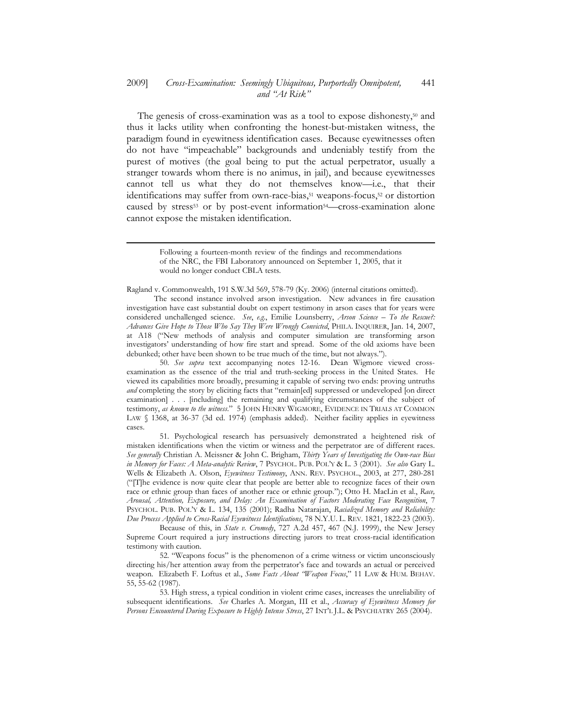#### 2009] Cross-Examination: Seemingly Ubiquitous, Purportedly Omnipotent, and "At Risk" 441

The genesis of cross-examination was as a tool to expose dishonesty,<sup>50</sup> and thus it lacks utility when confronting the honest-but-mistaken witness, the paradigm found in eyewitness identification cases. Because eyewitnesses often do not have "impeachable" backgrounds and undeniably testify from the purest of motives (the goal being to put the actual perpetrator, usually a stranger towards whom there is no animus, in jail), and because eyewitnesses cannot tell us what they do not themselves know—i.e., that their identifications may suffer from own-race-bias,<sup>51</sup> weapons-focus,<sup>52</sup> or distortion caused by stress<sup>53</sup> or by post-event information<sup>54</sup>—cross-examination alone cannot expose the mistaken identification.

Ragland v. Commonwealth, 191 S.W.3d 569, 578-79 (Ky. 2006) (internal citations omitted).

1

 The second instance involved arson investigation. New advances in fire causation investigation have cast substantial doubt on expert testimony in arson cases that for years were considered unchallenged science. See, e.g., Emilie Lounsberry, Arson Science - To the Rescue?: Advances Give Hope to Those Who Say They Were Wrongly Convicted, PHILA. INQUIRER, Jan. 14, 2007, at A18 ("New methods of analysis and computer simulation are transforming arson investigators' understanding of how fire start and spread. Some of the old axioms have been debunked; other have been shown to be true much of the time, but not always.").

50. See supra text accompanying notes 12-16. Dean Wigmore viewed crossexamination as the essence of the trial and truth-seeking process in the United States. He viewed its capabilities more broadly, presuming it capable of serving two ends: proving untruths and completing the story by eliciting facts that "remain[ed] suppressed or undeveloped [on direct examination] . . . [including] the remaining and qualifying circumstances of the subject of testimony, as known to the witness." 5 JOHN HENRY WIGMORE, EVIDENCE IN TRIALS AT COMMON LAW § 1368, at 36-37 (3d ed. 1974) (emphasis added). Neither facility applies in eyewitness cases.

51. Psychological research has persuasively demonstrated a heightened risk of mistaken identifications when the victim or witness and the perpetrator are of different races. See generally Christian A. Meissner & John C. Brigham, Thirty Years of Investigating the Own-race Bias in Memory for Faces: A Meta-analytic Review, 7 PSYCHOL. PUB. POL'Y & L. 3 (2001). See also Gary L. Wells & Elizabeth A. Olson, Eyewitness Testimony, ANN. REV. PSYCHOL., 2003, at 277, 280-281 ("[T]he evidence is now quite clear that people are better able to recognize faces of their own race or ethnic group than faces of another race or ethnic group."); Otto H. MacLin et al., Race, Arousal, Attention, Exposure, and Delay: An Examination of Factors Moderating Face Recognition, 7 PSYCHOL. PUB. POL'Y & L. 134, 135 (2001); Radha Natarajan, Racialized Memory and Reliability: Due Process Applied to Cross-Racial Eyewitness Identifications, 78 N.Y.U. L. REV. 1821, 1822-23 (2003).

Because of this, in State v. Cromedy, 727 A.2d 457, 467 (N.J. 1999), the New Jersey Supreme Court required a jury instructions directing jurors to treat cross-racial identification testimony with caution.

52. "Weapons focus" is the phenomenon of a crime witness or victim unconsciously directing his/her attention away from the perpetrator's face and towards an actual or perceived weapon. Elizabeth F. Loftus et al., Some Facts About "Weapon Focus," 11 LAW & HUM. BEHAV. 55, 55-62 (1987).

53. High stress, a typical condition in violent crime cases, increases the unreliability of subsequent identifications. See Charles A. Morgan, III et al., Accuracy of Eyewitness Memory for Persons Encountered During Exposure to Highly Intense Stress, 27 INT'L J.L. & PSYCHIATRY 265 (2004).

Following a fourteen-month review of the findings and recommendations of the NRC, the FBI Laboratory announced on September 1, 2005, that it would no longer conduct CBLA tests.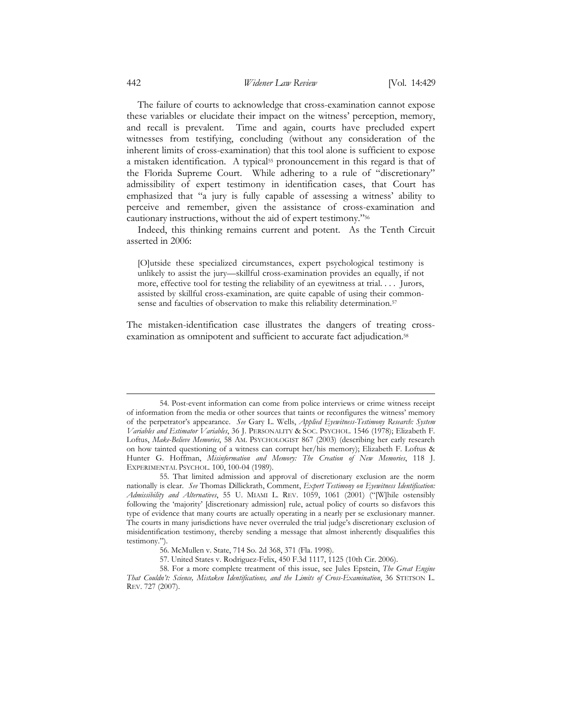The failure of courts to acknowledge that cross-examination cannot expose these variables or elucidate their impact on the witness' perception, memory, and recall is prevalent. Time and again, courts have precluded expert witnesses from testifying, concluding (without any consideration of the inherent limits of cross-examination) that this tool alone is sufficient to expose a mistaken identification. A typical<sup>55</sup> pronouncement in this regard is that of the Florida Supreme Court. While adhering to a rule of "discretionary" admissibility of expert testimony in identification cases, that Court has emphasized that "a jury is fully capable of assessing a witness' ability to perceive and remember, given the assistance of cross-examination and cautionary instructions, without the aid of expert testimony."<sup>56</sup>

 Indeed, this thinking remains current and potent. As the Tenth Circuit asserted in 2006:

[O]utside these specialized circumstances, expert psychological testimony is unlikely to assist the jury—skillful cross-examination provides an equally, if not more, effective tool for testing the reliability of an eyewitness at trial.... Jurors, assisted by skillful cross-examination, are quite capable of using their commonsense and faculties of observation to make this reliability determination.<sup>57</sup>

The mistaken-identification case illustrates the dangers of treating crossexamination as omnipotent and sufficient to accurate fact adjudication.<sup>58</sup>

<sup>54.</sup> Post-event information can come from police interviews or crime witness receipt of information from the media or other sources that taints or reconfigures the witness' memory of the perpetrator's appearance. See Gary L. Wells, Applied Eyewitness-Testimony Research: System Variables and Estimator Variables, 36 J. PERSONALITY & SOC. PSYCHOL. 1546 (1978); Elizabeth F. Loftus, Make-Believe Memories, 58 AM. PSYCHOLOGIST 867 (2003) (describing her early research on how tainted questioning of a witness can corrupt her/his memory); Elizabeth F. Loftus & Hunter G. Hoffman, Misinformation and Memory: The Creation of New Memories, 118 J. EXPERIMENTAL PSYCHOL. 100, 100-04 (1989).

<sup>55.</sup> That limited admission and approval of discretionary exclusion are the norm nationally is clear. See Thomas Dillickrath, Comment, Expert Testimony on Eyewitness Identification: Admissibility and Alternatives, 55 U. MIAMI L. REV. 1059, 1061 (2001) ("[W]hile ostensibly following the 'majority' [discretionary admission] rule, actual policy of courts so disfavors this type of evidence that many courts are actually operating in a nearly per se exclusionary manner. The courts in many jurisdictions have never overruled the trial judge's discretionary exclusion of misidentification testimony, thereby sending a message that almost inherently disqualifies this testimony.").

<sup>56.</sup> McMullen v. State, 714 So. 2d 368, 371 (Fla. 1998).

<sup>57.</sup> United States v. Rodriguez-Felix, 450 F.3d 1117, 1125 (10th Cir. 2006).

<sup>58.</sup> For a more complete treatment of this issue, see Jules Epstein, The Great Engine That Couldn't: Science, Mistaken Identifications, and the Limits of Cross-Examination, 36 STETSON L. REV. 727 (2007).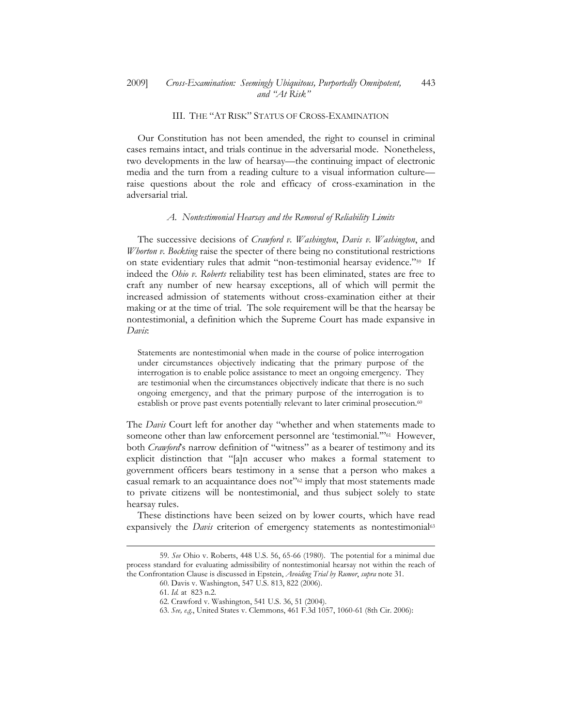# III. THE "AT RISK" STATUS OF CROSS-EXAMINATION

 Our Constitution has not been amended, the right to counsel in criminal cases remains intact, and trials continue in the adversarial mode. Nonetheless, two developments in the law of hearsay—the continuing impact of electronic media and the turn from a reading culture to a visual information culture raise questions about the role and efficacy of cross-examination in the adversarial trial.

### A. Nontestimonial Hearsay and the Removal of Reliability Limits

The successive decisions of *Crawford v. Washington*, *Davis v. Washington*, and Whorton v. Bockting raise the specter of there being no constitutional restrictions on state evidentiary rules that admit "non-testimonial hearsay evidence."59 If indeed the Ohio v. Roberts reliability test has been eliminated, states are free to craft any number of new hearsay exceptions, all of which will permit the increased admission of statements without cross-examination either at their making or at the time of trial. The sole requirement will be that the hearsay be nontestimonial, a definition which the Supreme Court has made expansive in Davis:

Statements are nontestimonial when made in the course of police interrogation under circumstances objectively indicating that the primary purpose of the interrogation is to enable police assistance to meet an ongoing emergency. They are testimonial when the circumstances objectively indicate that there is no such ongoing emergency, and that the primary purpose of the interrogation is to establish or prove past events potentially relevant to later criminal prosecution.<sup>60</sup>

The Davis Court left for another day "whether and when statements made to someone other than law enforcement personnel are 'testimonial."<sup>61</sup> However, both Crawford's narrow definition of "witness" as a bearer of testimony and its explicit distinction that "[a]n accuser who makes a formal statement to government officers bears testimony in a sense that a person who makes a casual remark to an acquaintance does not"62 imply that most statements made to private citizens will be nontestimonial, and thus subject solely to state hearsay rules.

 These distinctions have been seized on by lower courts, which have read expansively the *Davis* criterion of emergency statements as nontestimonial<sup>63</sup>

<sup>59.</sup> See Ohio v. Roberts, 448 U.S. 56, 65-66 (1980). The potential for a minimal due process standard for evaluating admissibility of nontestimonial hearsay not within the reach of the Confrontation Clause is discussed in Epstein, Avoiding Trial by Rumor, supra note 31.

<sup>60.</sup> Davis v. Washington, 547 U.S. 813, 822 (2006).

<sup>61.</sup> Id. at 823 n.2.

<sup>62.</sup> Crawford v. Washington, 541 U.S. 36, 51 (2004).

<sup>63.</sup> See, e.g., United States v. Clemmons, 461 F.3d 1057, 1060-61 (8th Cir. 2006):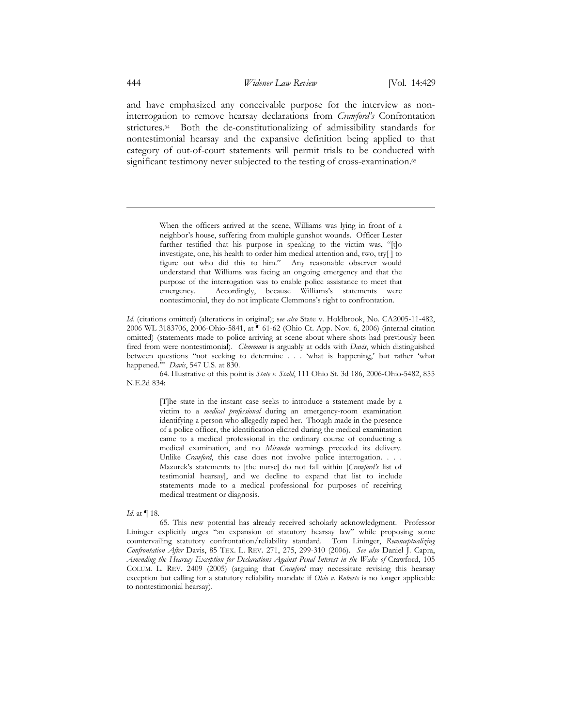and have emphasized any conceivable purpose for the interview as noninterrogation to remove hearsay declarations from Crawford's Confrontation strictures.64 Both the de-constitutionalizing of admissibility standards for nontestimonial hearsay and the expansive definition being applied to that category of out-of-court statements will permit trials to be conducted with significant testimony never subjected to the testing of cross-examination.<sup>65</sup>

> When the officers arrived at the scene, Williams was lying in front of a neighbor's house, suffering from multiple gunshot wounds. Officer Lester further testified that his purpose in speaking to the victim was, "[t]o investigate, one, his health to order him medical attention and, two, try[ ] to figure out who did this to him." Any reasonable observer would understand that Williams was facing an ongoing emergency and that the purpose of the interrogation was to enable police assistance to meet that emergency. Accordingly, because Williams's statements were nontestimonial, they do not implicate Clemmons's right to confrontation.

64. Illustrative of this point is State v. Stahl, 111 Ohio St. 3d 186, 2006-Ohio-5482, 855 N.E.2d 834:

> [T]he state in the instant case seeks to introduce a statement made by a victim to a medical professional during an emergency-room examination identifying a person who allegedly raped her. Though made in the presence of a police officer, the identification elicited during the medical examination came to a medical professional in the ordinary course of conducting a medical examination, and no Miranda warnings preceded its delivery. Unlike *Crawford*, this case does not involve police interrogation. . . . Mazurek's statements to [the nurse] do not fall within [Crawford's list of testimonial hearsay], and we decline to expand that list to include statements made to a medical professional for purposes of receiving medical treatment or diagnosis.

#### Id. at ¶ 18.

65. This new potential has already received scholarly acknowledgment. Professor Lininger explicitly urges "an expansion of statutory hearsay law" while proposing some countervailing statutory confrontation/reliability standard. Tom Lininger, Reconceptualizing Confrontation After Davis, 85 TEX. L. REV. 271, 275, 299-310 (2006). See also Daniel J. Capra, Amending the Hearsay Exception for Declarations Against Penal Interest in the Wake of Crawford, 105 COLUM. L. REV. 2409 (2005) (arguing that Crawford may necessitate revising this hearsay exception but calling for a statutory reliability mandate if *Ohio v. Roberts* is no longer applicable to nontestimonial hearsay).

 $\overline{a}$ 

Id. (citations omitted) (alterations in original); see also State v. Holdbrook, No. CA2005-11-482, 2006 WL 3183706, 2006-Ohio-5841, at ¶ 61-62 (Ohio Ct. App. Nov. 6, 2006) (internal citation omitted) (statements made to police arriving at scene about where shots had previously been fired from were nontestimonial). *Clemmons* is arguably at odds with *Davis*, which distinguished between questions "not seeking to determine . . . 'what is happening,' but rather 'what happened." Davis, 547 U.S. at 830.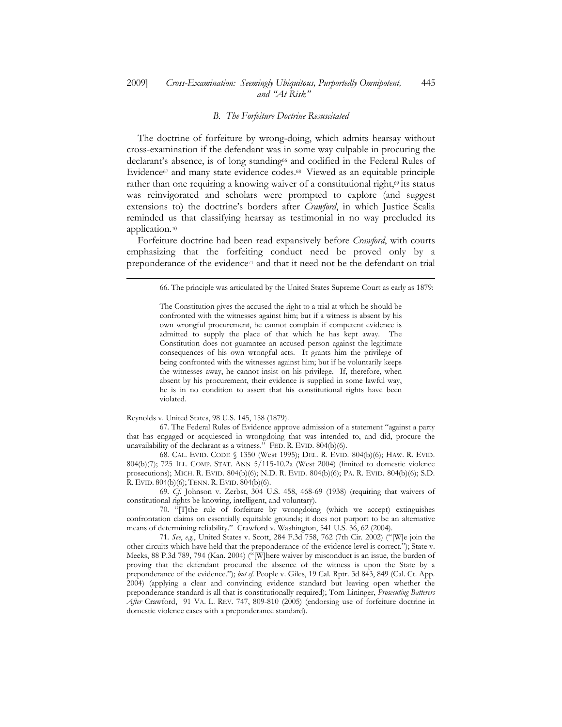#### 2009] Cross-Examination: Seemingly Ubiquitous, Purportedly Omnipotent, and "At Risk" 445

### B. The Forfeiture Doctrine Resuscitated

 The doctrine of forfeiture by wrong-doing, which admits hearsay without cross-examination if the defendant was in some way culpable in procuring the declarant's absence, is of long standing66 and codified in the Federal Rules of Evidence<sup>67</sup> and many state evidence codes.<sup>68</sup> Viewed as an equitable principle rather than one requiring a knowing waiver of a constitutional right, $\omega$  its status was reinvigorated and scholars were prompted to explore (and suggest extensions to) the doctrine's borders after Crawford, in which Justice Scalia reminded us that classifying hearsay as testimonial in no way precluded its application.<sup>70</sup>

Forfeiture doctrine had been read expansively before *Crawford*, with courts emphasizing that the forfeiting conduct need be proved only by a preponderance of the evidence71 and that it need not be the defendant on trial

Reynolds v. United States, 98 U.S. 145, 158 (1879).

1

67. The Federal Rules of Evidence approve admission of a statement "against a party that has engaged or acquiesced in wrongdoing that was intended to, and did, procure the unavailability of the declarant as a witness." FED. R. EVID. 804(b)(6).

68. CAL. EVID. CODE § 1350 (West 1995); DEL. R. EVID. 804(b)(6); HAW. R. EVID. 804(b)(7); 725 ILL. COMP. STAT. ANN 5/115-10.2a (West 2004) (limited to domestic violence prosecutions); MICH. R. EVID. 804(b)(6); N.D. R. EVID. 804(b)(6); PA. R. EVID. 804(b)(6); S.D. R. EVID. 804(b)(6); TENN. R. EVID. 804(b)(6).

69. Cf. Johnson v. Zerbst, 304 U.S. 458, 468-69 (1938) (requiring that waivers of constitutional rights be knowing, intelligent, and voluntary).

70. "[T]the rule of forfeiture by wrongdoing (which we accept) extinguishes confrontation claims on essentially equitable grounds; it does not purport to be an alternative means of determining reliability." Crawford v. Washington, 541 U.S. 36, 62 (2004).

71. See, e.g., United States v. Scott, 284 F.3d 758, 762 (7th Cir. 2002) ("[W]e join the other circuits which have held that the preponderance-of-the-evidence level is correct."); State v. Meeks, 88 P.3d 789, 794 (Kan. 2004) ("[W]here waiver by misconduct is an issue, the burden of proving that the defendant procured the absence of the witness is upon the State by a preponderance of the evidence."); but cf. People v. Giles, 19 Cal. Rptr. 3d 843, 849 (Cal. Ct. App. 2004) (applying a clear and convincing evidence standard but leaving open whether the preponderance standard is all that is constitutionally required); Tom Lininger, Prosecuting Batterers After Crawford, 91 VA. L. REV. 747, 809-810 (2005) (endorsing use of forfeiture doctrine in domestic violence cases with a preponderance standard).

<sup>66.</sup> The principle was articulated by the United States Supreme Court as early as 1879:

The Constitution gives the accused the right to a trial at which he should be confronted with the witnesses against him; but if a witness is absent by his own wrongful procurement, he cannot complain if competent evidence is admitted to supply the place of that which he has kept away. The Constitution does not guarantee an accused person against the legitimate consequences of his own wrongful acts. It grants him the privilege of being confronted with the witnesses against him; but if he voluntarily keeps the witnesses away, he cannot insist on his privilege. If, therefore, when absent by his procurement, their evidence is supplied in some lawful way, he is in no condition to assert that his constitutional rights have been violated.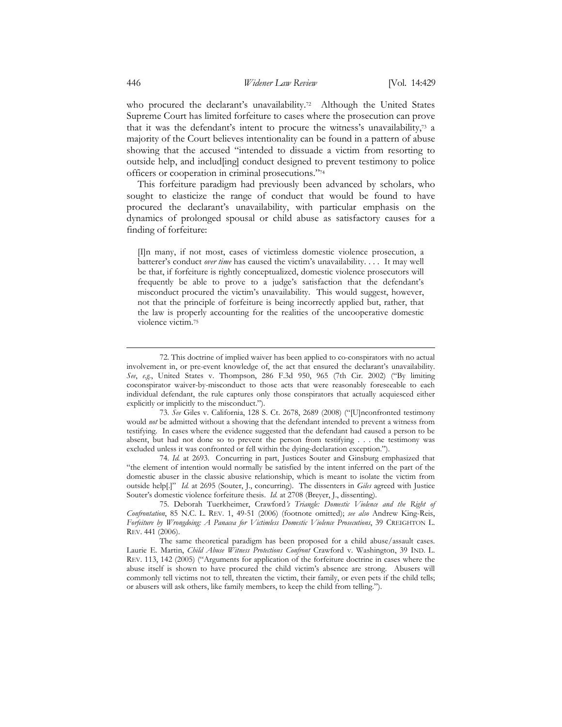who procured the declarant's unavailability.<sup>72</sup> Although the United States Supreme Court has limited forfeiture to cases where the prosecution can prove that it was the defendant's intent to procure the witness's unavailability,73 a majority of the Court believes intentionality can be found in a pattern of abuse showing that the accused "intended to dissuade a victim from resorting to outside help, and includ[ing] conduct designed to prevent testimony to police officers or cooperation in criminal prosecutions."<sup>74</sup>

 This forfeiture paradigm had previously been advanced by scholars, who sought to elasticize the range of conduct that would be found to have procured the declarant's unavailability, with particular emphasis on the dynamics of prolonged spousal or child abuse as satisfactory causes for a finding of forfeiture:

[I]n many, if not most, cases of victimless domestic violence prosecution, a batterer's conduct over time has caused the victim's unavailability. . . . It may well be that, if forfeiture is rightly conceptualized, domestic violence prosecutors will frequently be able to prove to a judge's satisfaction that the defendant's misconduct procured the victim's unavailability. This would suggest, however, not that the principle of forfeiture is being incorrectly applied but, rather, that the law is properly accounting for the realities of the uncooperative domestic violence victim.<sup>75</sup>

73. See Giles v. California, 128 S. Ct. 2678, 2689 (2008) ("[U]nconfronted testimony would *not* be admitted without a showing that the defendant intended to prevent a witness from testifying. In cases where the evidence suggested that the defendant had caused a person to be absent, but had not done so to prevent the person from testifying . . . the testimony was excluded unless it was confronted or fell within the dying-declaration exception.").

74. Id. at 2693. Concurring in part, Justices Souter and Ginsburg emphasized that "the element of intention would normally be satisfied by the intent inferred on the part of the domestic abuser in the classic abusive relationship, which is meant to isolate the victim from outside help[.]" Id. at 2695 (Souter, J., concurring). The dissenters in Giles agreed with Justice Souter's domestic violence forfeiture thesis. Id. at 2708 (Breyer, J., dissenting).

75. Deborah Tuerkheimer, Crawford's Triangle: Domestic Violence and the Right of Confrontation, 85 N.C. L. REV. 1, 49-51 (2006) (footnote omitted); see also Andrew King-Reis, Forfeiture by Wrongdoing: A Panacea for Victimless Domestic Violence Prosecutions, 39 CREIGHTON L. REV. 441 (2006).

The same theoretical paradigm has been proposed for a child abuse/assault cases. Laurie E. Martin, Child Abuse Witness Protections Confront Crawford v. Washington, 39 IND. L. REV. 113, 142 (2005) ("Arguments for application of the forfeiture doctrine in cases where the abuse itself is shown to have procured the child victim's absence are strong. Abusers will commonly tell victims not to tell, threaten the victim, their family, or even pets if the child tells; or abusers will ask others, like family members, to keep the child from telling.").

-

<sup>72.</sup> This doctrine of implied waiver has been applied to co-conspirators with no actual involvement in, or pre-event knowledge of, the act that ensured the declarant's unavailability. See, e.g., United States v. Thompson, 286 F.3d 950, 965 (7th Cir. 2002) ("By limiting coconspirator waiver-by-misconduct to those acts that were reasonably foreseeable to each individual defendant, the rule captures only those conspirators that actually acquiesced either explicitly or implicitly to the misconduct.").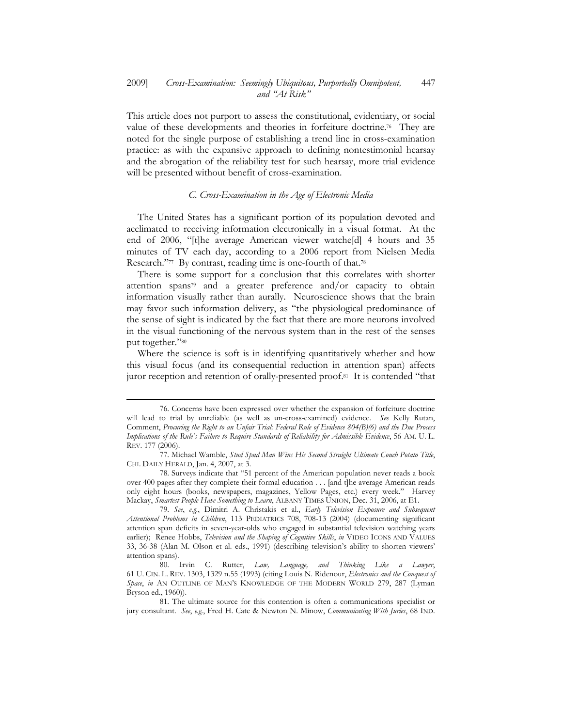This article does not purport to assess the constitutional, evidentiary, or social value of these developments and theories in forfeiture doctrine.<sup>76</sup> They are noted for the single purpose of establishing a trend line in cross-examination practice: as with the expansive approach to defining nontestimonial hearsay and the abrogation of the reliability test for such hearsay, more trial evidence will be presented without benefit of cross-examination.

## C. Cross-Examination in the Age of Electronic Media

 The United States has a significant portion of its population devoted and acclimated to receiving information electronically in a visual format. At the end of 2006, "[t]he average American viewer watche[d] 4 hours and 35 minutes of TV each day, according to a 2006 report from Nielsen Media Research."77 By contrast, reading time is one-fourth of that.78

 There is some support for a conclusion that this correlates with shorter attention spans79 and a greater preference and/or capacity to obtain information visually rather than aurally. Neuroscience shows that the brain may favor such information delivery, as "the physiological predominance of the sense of sight is indicated by the fact that there are more neurons involved in the visual functioning of the nervous system than in the rest of the senses put together."80

 Where the science is soft is in identifying quantitatively whether and how this visual focus (and its consequential reduction in attention span) affects juror reception and retention of orally-presented proof.81 It is contended "that

 $\overline{a}$ 

<sup>76.</sup> Concerns have been expressed over whether the expansion of forfeiture doctrine will lead to trial by unreliable (as well as un-cross-examined) evidence. See Kelly Rutan, Comment, Procuring the Right to an Unfair Trial: Federal Rule of Evidence 804(B)(6) and the Due Process Implications of the Rule's Failure to Require Standards of Reliability for Admissible Evidence, 56 AM. U. L. REV. 177 (2006).

<sup>77.</sup> Michael Wamble, Stud Spud Man Wins His Second Straight Ultimate Couch Potato Title, CHI. DAILY HERALD, Jan. 4, 2007, at 3.

<sup>78.</sup> Surveys indicate that "51 percent of the American population never reads a book over 400 pages after they complete their formal education . . . [and t]he average American reads only eight hours (books, newspapers, magazines, Yellow Pages, etc.) every week." Harvey Mackay, Smartest People Have Something to Learn, ALBANY TIMES UNION, Dec. 31, 2006, at E1.

<sup>79.</sup> See, e.g., Dimitri A. Christakis et al., Early Television Exposure and Subsequent Attentional Problems in Children, 113 PEDIATRICS 708, 708-13 (2004) (documenting significant attention span deficits in seven-year-olds who engaged in substantial television watching years earlier); Renee Hobbs, Television and the Shaping of Cognitive Skills, in VIDEO ICONS AND VALUES 33, 36-38 (Alan M. Olson et al. eds., 1991) (describing television's ability to shorten viewers' attention spans).

<sup>80.</sup> Irvin C. Rutter, Law, Language, and Thinking Like a Lawyer, 61 U. CIN. L. REV. 1303, 1329 n.55 (1993) (citing Louis N. Ridenour, Electronics and the Conquest of Space, in AN OUTLINE OF MAN'S KNOWLEDGE OF THE MODERN WORLD 279, 287 (Lyman Bryson ed., 1960)).

<sup>81.</sup> The ultimate source for this contention is often a communications specialist or jury consultant. See, e.g., Fred H. Cate & Newton N. Minow, Communicating With Juries, 68 IND.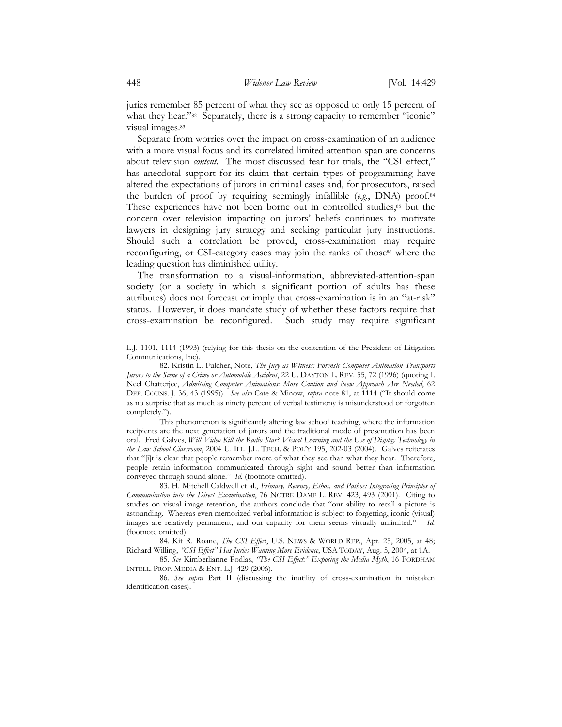juries remember 85 percent of what they see as opposed to only 15 percent of what they hear."<sup>82</sup> Separately, there is a strong capacity to remember "iconic" visual images.<sup>83</sup>

 Separate from worries over the impact on cross-examination of an audience with a more visual focus and its correlated limited attention span are concerns about television *content*. The most discussed fear for trials, the "CSI effect," has anecdotal support for its claim that certain types of programming have altered the expectations of jurors in criminal cases and, for prosecutors, raised the burden of proof by requiring seemingly infallible (e.g., DNA) proof.<sup>84</sup> These experiences have not been borne out in controlled studies,<sup>85</sup> but the concern over television impacting on jurors' beliefs continues to motivate lawyers in designing jury strategy and seeking particular jury instructions. Should such a correlation be proved, cross-examination may require reconfiguring, or CSI-category cases may join the ranks of those<sup>86</sup> where the leading question has diminished utility.

 The transformation to a visual-information, abbreviated-attention-span society (or a society in which a significant portion of adults has these attributes) does not forecast or imply that cross-examination is in an "at-risk" status. However, it does mandate study of whether these factors require that cross-examination be reconfigured. Such study may require significant

This phenomenon is significantly altering law school teaching, where the information recipients are the next generation of jurors and the traditional mode of presentation has been oral. Fred Galves, Will Video Kill the Radio Star? Visual Learning and the Use of Display Technology in the Law School Classroom, 2004 U. ILL. J.L. TECH. & POL'Y 195, 202-03 (2004). Galves reiterates that "[i]t is clear that people remember more of what they see than what they hear. Therefore, people retain information communicated through sight and sound better than information conveyed through sound alone." Id. (footnote omitted).

83. H. Mitchell Caldwell et al., Primacy, Recency, Ethos, and Pathos: Integrating Principles of Communication into the Direct Examination, 76 NOTRE DAME L. REV. 423, 493 (2001). Citing to studies on visual image retention, the authors conclude that "our ability to recall a picture is astounding. Whereas even memorized verbal information is subject to forgetting, iconic (visual) images are relatively permanent, and our capacity for them seems virtually unlimited." Id. (footnote omitted).

84. Kit R. Roane, The CSI Effect, U.S. NEWS & WORLD REP., Apr. 25, 2005, at 48; Richard Willing, "CSI Effect" Has Juries Wanting More Evidence, USA TODAY, Aug. 5, 2004, at 1A.

85. See Kimberlianne Podlas, "The CSI Effect:" Exposing the Media Myth, 16 FORDHAM INTELL. PROP. MEDIA & ENT. L.J. 429 (2006).

86. See supra Part II (discussing the inutility of cross-examination in mistaken identification cases).

-

L.J. 1101, 1114 (1993) (relying for this thesis on the contention of the President of Litigation Communications, Inc).

<sup>82.</sup> Kristin L. Fulcher, Note, The Jury as Witness: Forensic Computer Animation Transports Jurors to the Scene of a Crime or Automobile Accident, 22 U. DAYTON L. REV. 55, 72 (1996) (quoting I. Neel Chatterjee, Admitting Computer Animations: More Caution and New Approach Are Needed, 62 DEF. COUNS. J. 36, 43 (1995)). See also Cate & Minow, supra note 81, at 1114 ("It should come as no surprise that as much as ninety percent of verbal testimony is misunderstood or forgotten completely.").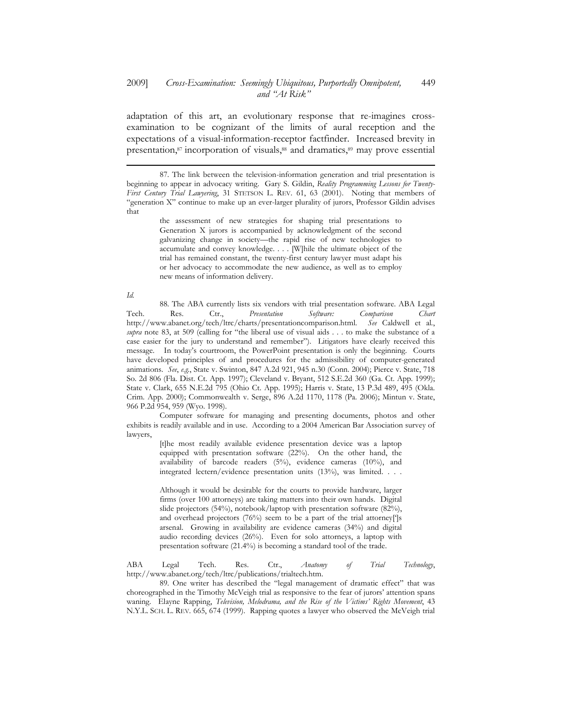#### 2009] Cross-Examination: Seemingly Ubiquitous, Purportedly Omnipotent, and "At Risk" 449

adaptation of this art, an evolutionary response that re-imagines crossexamination to be cognizant of the limits of aural reception and the expectations of a visual-information-receptor factfinder. Increased brevity in presentation,<sup>87</sup> incorporation of visuals,88 and dramatics,89 may prove essential

the assessment of new strategies for shaping trial presentations to Generation X jurors is accompanied by acknowledgment of the second galvanizing change in society—the rapid rise of new technologies to accumulate and convey knowledge. . . . [W]hile the ultimate object of the trial has remained constant, the twenty-first century lawyer must adapt his or her advocacy to accommodate the new audience, as well as to employ new means of information delivery.

#### Id.

1

88. The ABA currently lists six vendors with trial presentation software. ABA Legal Tech. Res. Ctr., Presentation Software: Comparison Chart http://www.abanet.org/tech/ltrc/charts/presentationcomparison.html. See Caldwell et al., supra note 83, at 509 (calling for "the liberal use of visual aids . . . to make the substance of a case easier for the jury to understand and remember"). Litigators have clearly received this message. In today's courtroom, the PowerPoint presentation is only the beginning. Courts have developed principles of and procedures for the admissibility of computer-generated animations. See, e.g., State v. Swinton, 847 A.2d 921, 945 n.30 (Conn. 2004); Pierce v. State, 718 So. 2d 806 (Fla. Dist. Ct. App. 1997); Cleveland v. Bryant, 512 S.E.2d 360 (Ga. Ct. App. 1999); State v. Clark, 655 N.E.2d 795 (Ohio Ct. App. 1995); Harris v. State, 13 P.3d 489, 495 (Okla. Crim. App. 2000); Commonwealth v. Serge, 896 A.2d 1170, 1178 (Pa. 2006); Mintun v. State, 966 P.2d 954, 959 (Wyo. 1998).

Computer software for managing and presenting documents, photos and other exhibits is readily available and in use. According to a 2004 American Bar Association survey of lawyers,

[t]he most readily available evidence presentation device was a laptop equipped with presentation software (22%). On the other hand, the availability of barcode readers (5%), evidence cameras (10%), and integrated lectern/evidence presentation units (13%), was limited. . . .

Although it would be desirable for the courts to provide hardware, larger firms (over 100 attorneys) are taking matters into their own hands. Digital slide projectors (54%), notebook/laptop with presentation software (82%), and overhead projectors (76%) seem to be a part of the trial attorney[']s arsenal. Growing in availability are evidence cameras (34%) and digital audio recording devices (26%). Even for solo attorneys, a laptop with presentation software (21.4%) is becoming a standard tool of the trade.

ABA Legal Tech. Res. Ctr., Anatomy of Trial Technology, http://www.abanet.org/tech/ltrc/publications/trialtech.htm.

89. One writer has described the "legal management of dramatic effect" that was choreographed in the Timothy McVeigh trial as responsive to the fear of jurors' attention spans waning. Elayne Rapping, Television, Melodrama, and the Rise of the Victims' Rights Movement, 43 N.Y.L. SCH. L. REV. 665, 674 (1999). Rapping quotes a lawyer who observed the McVeigh trial

<sup>87.</sup> The link between the television-information generation and trial presentation is beginning to appear in advocacy writing. Gary S. Gildin, Reality Programming Lessons for Twenty-First Century Trial Lawyering, 31 STETSON L. REV. 61, 63 (2001). Noting that members of "generation X" continue to make up an ever-larger plurality of jurors, Professor Gildin advises that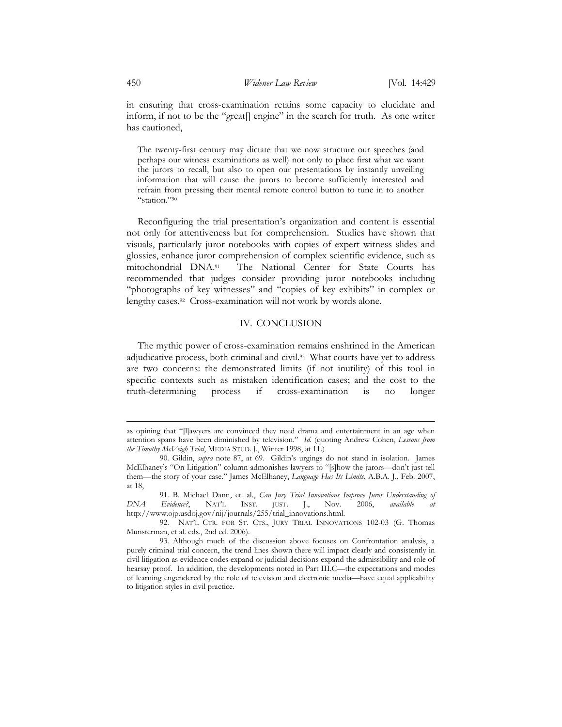in ensuring that cross-examination retains some capacity to elucidate and inform, if not to be the "great<sup>[]</sup> engine" in the search for truth. As one writer has cautioned,

The twenty-first century may dictate that we now structure our speeches (and perhaps our witness examinations as well) not only to place first what we want the jurors to recall, but also to open our presentations by instantly unveiling information that will cause the jurors to become sufficiently interested and refrain from pressing their mental remote control button to tune in to another "station."<sup>90</sup>

 Reconfiguring the trial presentation's organization and content is essential not only for attentiveness but for comprehension. Studies have shown that visuals, particularly juror notebooks with copies of expert witness slides and glossies, enhance juror comprehension of complex scientific evidence, such as mitochondrial DNA.91 The National Center for State Courts has recommended that judges consider providing juror notebooks including "photographs of key witnesses" and "copies of key exhibits" in complex or lengthy cases.92 Cross-examination will not work by words alone.

# IV. CONCLUSION

 The mythic power of cross-examination remains enshrined in the American adjudicative process, both criminal and civil.93 What courts have yet to address are two concerns: the demonstrated limits (if not inutility) of this tool in specific contexts such as mistaken identification cases; and the cost to the truth-determining process if cross-examination is no longer

as opining that "[l]awyers are convinced they need drama and entertainment in an age when attention spans have been diminished by television." Id. (quoting Andrew Cohen, Lessons from the Timothy McVeigh Trial, MEDIA STUD. J., Winter 1998, at 11.)

<sup>90.</sup> Gildin, supra note 87, at 69. Gildin's urgings do not stand in isolation. James McElhaney's "On Litigation" column admonishes lawyers to "[s]how the jurors—don't just tell them—the story of your case." James McElhaney, *Language Has Its Limits*, A.B.A. J., Feb. 2007, at 18,

<sup>91.</sup> B. Michael Dann, et. al., Can Jury Trial Innovations Improve Juror Understanding of Evidence?, NAT'L INST. UST. J., Nov. 2006, available at DNA Evidence?, NAT'L INST. JUST. J., Nov. 2006, available at http://www.ojp.usdoj.gov/nij/journals/255/trial\_innovations.html.

<sup>92.</sup> NAT'L CTR. FOR ST. CTS., JURY TRIAL INNOVATIONS 102-03 (G. Thomas Munsterman, et al. eds., 2nd ed. 2006).

<sup>93.</sup> Although much of the discussion above focuses on Confrontation analysis, a purely criminal trial concern, the trend lines shown there will impact clearly and consistently in civil litigation as evidence codes expand or judicial decisions expand the admissibility and role of hearsay proof. In addition, the developments noted in Part III.C—the expectations and modes of learning engendered by the role of television and electronic media—have equal applicability to litigation styles in civil practice.